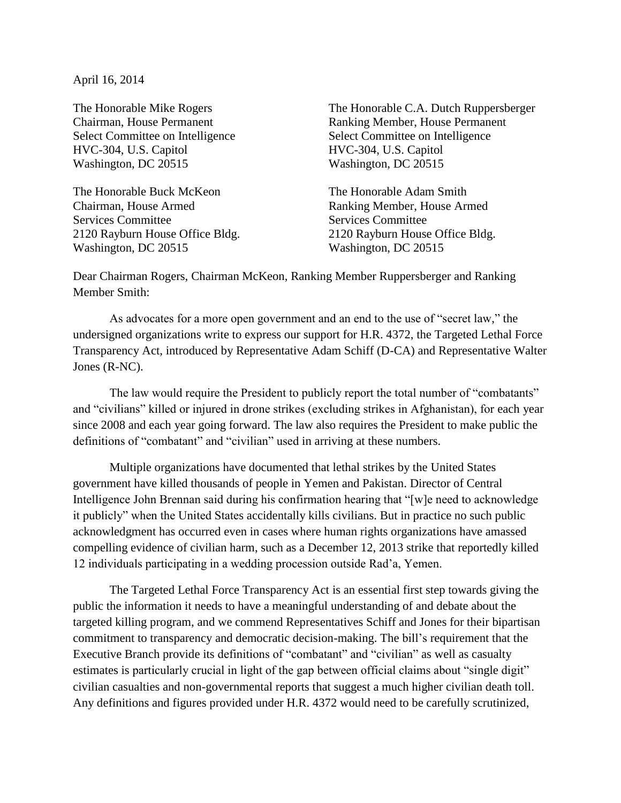April 16, 2014

The Honorable Mike Rogers Chairman, House Permanent Select Committee on Intelligence HVC-304, U.S. Capitol Washington, DC 20515

The Honorable Buck McKeon The Honorable Adam Smith Chairman, House Armed Ranking Member, House Armed Services Committee Services Committee Services Committee 2120 Rayburn House Office Bldg. 2120 Rayburn House Office Bldg. Washington, DC 20515 Washington, DC 20515

The Honorable C.A. Dutch Ruppersberger Ranking Member, House Permanent Select Committee on Intelligence HVC-304, U.S. Capitol Washington, DC 20515

Dear Chairman Rogers, Chairman McKeon, Ranking Member Ruppersberger and Ranking Member Smith:

As advocates for a more open government and an end to the use of "secret law," the undersigned organizations write to express our support for H.R. 4372, the Targeted Lethal Force Transparency Act, introduced by Representative Adam Schiff (D-CA) and Representative Walter Jones (R-NC).

The law would require the President to publicly report the total number of "combatants" and "civilians" killed or injured in drone strikes (excluding strikes in Afghanistan), for each year since 2008 and each year going forward. The law also requires the President to make public the definitions of "combatant" and "civilian" used in arriving at these numbers.

Multiple organizations have documented that lethal strikes by the United States government have killed thousands of people in Yemen and Pakistan. Director of Central Intelligence John Brennan said during his confirmation hearing that "[w]e need to acknowledge it publicly" when the United States accidentally kills civilians. But in practice no such public acknowledgment has occurred even in cases where human rights organizations have amassed compelling evidence of civilian harm, such as a December 12, 2013 strike that reportedly killed 12 individuals participating in a wedding procession outside Rad'a, Yemen.

The Targeted Lethal Force Transparency Act is an essential first step towards giving the public the information it needs to have a meaningful understanding of and debate about the targeted killing program, and we commend Representatives Schiff and Jones for their bipartisan commitment to transparency and democratic decision-making. The bill's requirement that the Executive Branch provide its definitions of "combatant" and "civilian" as well as casualty estimates is particularly crucial in light of the gap between official claims about "single digit" civilian casualties and non-governmental reports that suggest a much higher civilian death toll. Any definitions and figures provided under H.R. 4372 would need to be carefully scrutinized,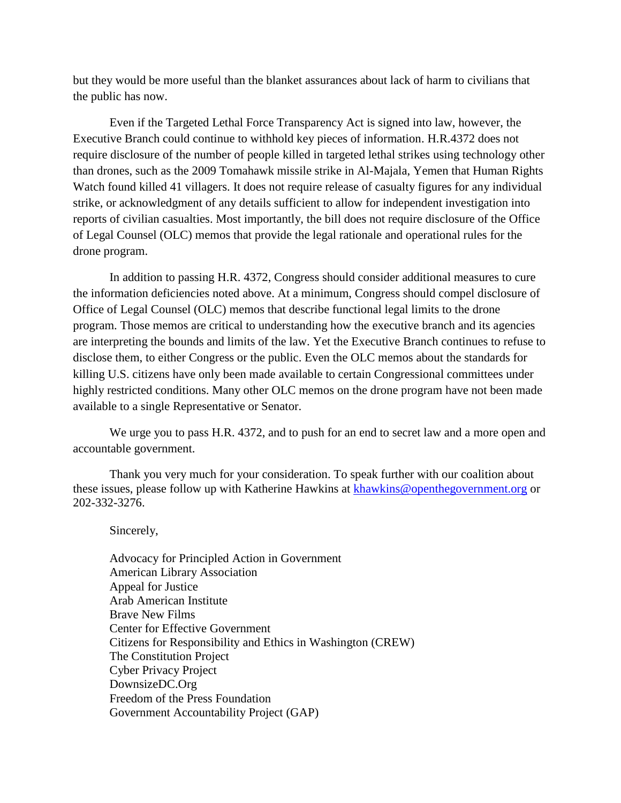but they would be more useful than the blanket assurances about lack of harm to civilians that the public has now.

Even if the Targeted Lethal Force Transparency Act is signed into law, however, the Executive Branch could continue to withhold key pieces of information. H.R.4372 does not require disclosure of the number of people killed in targeted lethal strikes using technology other than drones, such as the 2009 Tomahawk missile strike in Al-Majala, Yemen that Human Rights Watch found killed 41 villagers. It does not require release of casualty figures for any individual strike, or acknowledgment of any details sufficient to allow for independent investigation into reports of civilian casualties. Most importantly, the bill does not require disclosure of the Office of Legal Counsel (OLC) memos that provide the legal rationale and operational rules for the drone program.

In addition to passing H.R. 4372, Congress should consider additional measures to cure the information deficiencies noted above. At a minimum, Congress should compel disclosure of Office of Legal Counsel (OLC) memos that describe functional legal limits to the drone program. Those memos are critical to understanding how the executive branch and its agencies are interpreting the bounds and limits of the law. Yet the Executive Branch continues to refuse to disclose them, to either Congress or the public. Even the OLC memos about the standards for killing U.S. citizens have only been made available to certain Congressional committees under highly restricted conditions. Many other OLC memos on the drone program have not been made available to a single Representative or Senator.

We urge you to pass H.R. 4372, and to push for an end to secret law and a more open and accountable government.

Thank you very much for your consideration. To speak further with our coalition about these issues, please follow up with Katherine Hawkins at [khawkins@openthegovernment.org](mailto:khawkins@openthegovernment.org) or 202-332-3276.

Sincerely,

Advocacy for Principled Action in Government American Library Association Appeal for Justice Arab American Institute Brave New Films Center for Effective Government Citizens for Responsibility and Ethics in Washington (CREW) The Constitution Project Cyber Privacy Project DownsizeDC.Org Freedom of the Press Foundation Government Accountability Project (GAP)